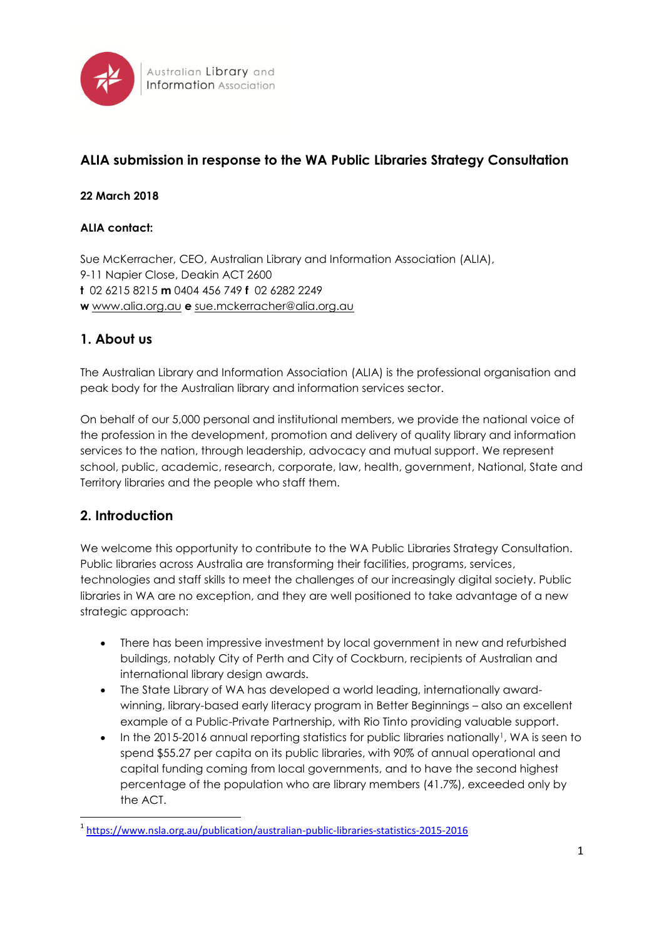

# **ALIA submission in response to the WA Public Libraries Strategy Consultation**

### **22 March 2018**

### **ALIA contact:**

Sue McKerracher, CEO, Australian Library and Information Association (ALIA), 9-11 Napier Close, Deakin ACT 2600 **t** 02 6215 8215 **m** 0404 456 749 **f** 02 6282 2249 **w** [www.alia.org.au](http://www.alia.org.au/) **e** [sue.mckerracher@alia.org.au](mailto:rob.miller@alia.org.au)

## **1. About us**

The Australian Library and Information Association (ALIA) is the professional organisation and peak body for the Australian library and information services sector.

On behalf of our 5,000 personal and institutional members, we provide the national voice of the profession in the development, promotion and delivery of quality library and information services to the nation, through leadership, advocacy and mutual support. We represent school, public, academic, research, corporate, law, health, government, National, State and Territory libraries and the people who staff them.

## **2. Introduction**

1

We welcome this opportunity to contribute to the WA Public Libraries Strategy Consultation. Public libraries across Australia are transforming their facilities, programs, services, technologies and staff skills to meet the challenges of our increasingly digital society. Public libraries in WA are no exception, and they are well positioned to take advantage of a new strategic approach:

- There has been impressive investment by local government in new and refurbished buildings, notably City of Perth and City of Cockburn, recipients of Australian and international library design awards.
- The State Library of WA has developed a world leading, internationally awardwinning, library-based early literacy program in Better Beginnings – also an excellent example of a Public-Private Partnership, with Rio Tinto providing valuable support.
- In the 2015-2016 annual reporting statistics for public libraries nationally<sup>1</sup>, WA is seen to spend \$55.27 per capita on its public libraries, with 90% of annual operational and capital funding coming from local governments, and to have the second highest percentage of the population who are library members (41.7%), exceeded only by the ACT.

<sup>1</sup> <https://www.nsla.org.au/publication/australian-public-libraries-statistics-2015-2016>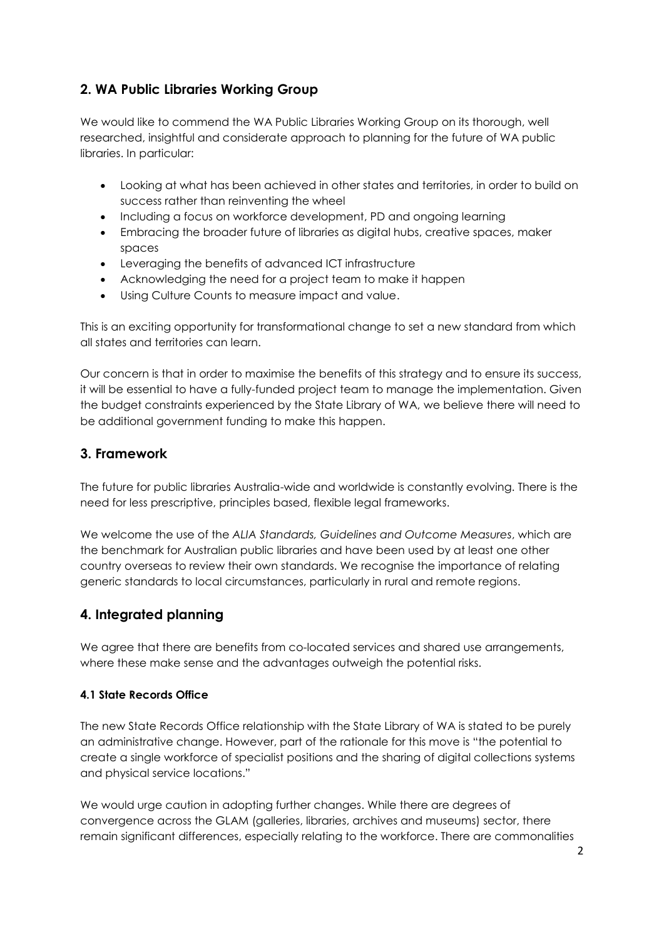# **2. WA Public Libraries Working Group**

We would like to commend the WA Public Libraries Working Group on its thorough, well researched, insightful and considerate approach to planning for the future of WA public libraries. In particular:

- Looking at what has been achieved in other states and territories, in order to build on success rather than reinventing the wheel
- Including a focus on workforce development, PD and ongoing learning
- Embracing the broader future of libraries as digital hubs, creative spaces, maker spaces
- Leveraging the benefits of advanced ICT infrastructure
- Acknowledging the need for a project team to make it happen
- Using Culture Counts to measure impact and value.

This is an exciting opportunity for transformational change to set a new standard from which all states and territories can learn.

Our concern is that in order to maximise the benefits of this strategy and to ensure its success, it will be essential to have a fully-funded project team to manage the implementation. Given the budget constraints experienced by the State Library of WA, we believe there will need to be additional government funding to make this happen.

### **3. Framework**

The future for public libraries Australia-wide and worldwide is constantly evolving. There is the need for less prescriptive, principles based, flexible legal frameworks.

We welcome the use of the *ALIA Standards, Guidelines and Outcome Measures*, which are the benchmark for Australian public libraries and have been used by at least one other country overseas to review their own standards. We recognise the importance of relating generic standards to local circumstances, particularly in rural and remote regions.

## **4. Integrated planning**

We agree that there are benefits from co-located services and shared use arrangements, where these make sense and the advantages outweigh the potential risks.

#### **4.1 State Records Office**

The new State Records Office relationship with the State Library of WA is stated to be purely an administrative change. However, part of the rationale for this move is "the potential to create a single workforce of specialist positions and the sharing of digital collections systems and physical service locations."

We would urge caution in adopting further changes. While there are degrees of convergence across the GLAM (galleries, libraries, archives and museums) sector, there remain significant differences, especially relating to the workforce. There are commonalities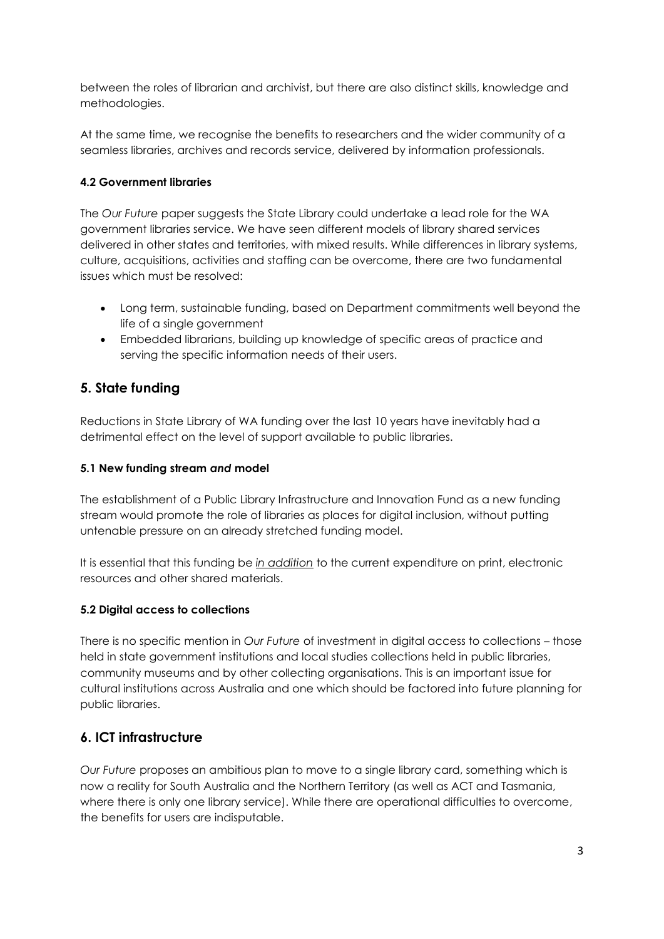between the roles of librarian and archivist, but there are also distinct skills, knowledge and methodologies.

At the same time, we recognise the benefits to researchers and the wider community of a seamless libraries, archives and records service, delivered by information professionals.

### **4.2 Government libraries**

The *Our Future* paper suggests the State Library could undertake a lead role for the WA government libraries service. We have seen different models of library shared services delivered in other states and territories, with mixed results. While differences in library systems, culture, acquisitions, activities and staffing can be overcome, there are two fundamental issues which must be resolved:

- Long term, sustainable funding, based on Department commitments well beyond the life of a single government
- Embedded librarians, building up knowledge of specific areas of practice and serving the specific information needs of their users.

## **5. State funding**

Reductions in State Library of WA funding over the last 10 years have inevitably had a detrimental effect on the level of support available to public libraries.

### **5.1 New funding stream** *and* **model**

The establishment of a Public Library Infrastructure and Innovation Fund as a new funding stream would promote the role of libraries as places for digital inclusion, without putting untenable pressure on an already stretched funding model.

It is essential that this funding be *in addition* to the current expenditure on print, electronic resources and other shared materials.

### **5.2 Digital access to collections**

There is no specific mention in *Our Future* of investment in digital access to collections – those held in state government institutions and local studies collections held in public libraries, community museums and by other collecting organisations. This is an important issue for cultural institutions across Australia and one which should be factored into future planning for public libraries.

## **6. ICT infrastructure**

*Our Future* proposes an ambitious plan to move to a single library card, something which is now a reality for South Australia and the Northern Territory (as well as ACT and Tasmania, where there is only one library service). While there are operational difficulties to overcome, the benefits for users are indisputable.